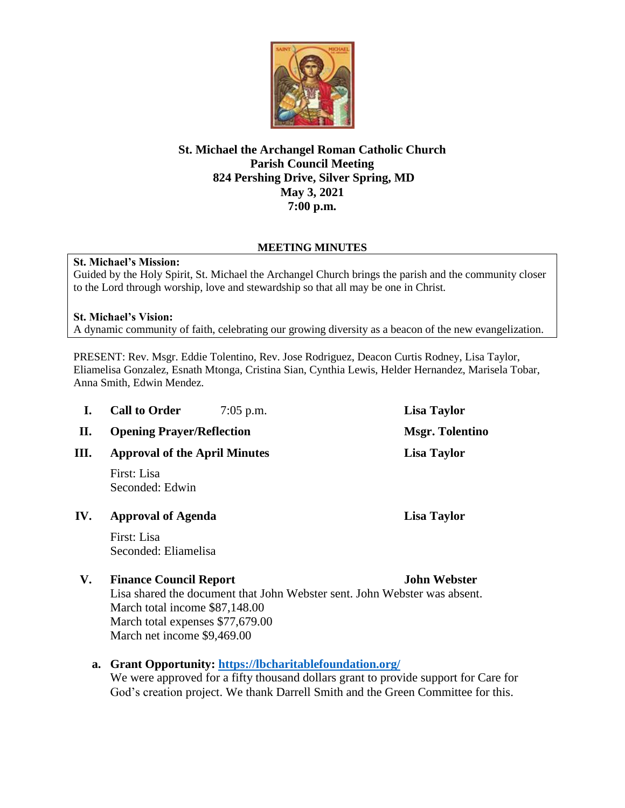

# **St. Michael the Archangel Roman Catholic Church Parish Council Meeting 824 Pershing Drive, Silver Spring, MD May 3, 2021 7:00 p.m.**

## **MEETING MINUTES**

### **St. Michael's Mission:**

Guided by the Holy Spirit, St. Michael the Archangel Church brings the parish and the community closer to the Lord through worship, love and stewardship so that all may be one in Christ.

### **St. Michael's Vision:**

A dynamic community of faith, celebrating our growing diversity as a beacon of the new evangelization.

PRESENT: Rev. Msgr. Eddie Tolentino, Rev. Jose Rodriguez, Deacon Curtis Rodney, Lisa Taylor, Eliamelisa Gonzalez, Esnath Mtonga, Cristina Sian, Cynthia Lewis, Helder Hernandez, Marisela Tobar, Anna Smith, Edwin Mendez.

| I.   | <b>Call to Order</b>                                                                                       | $7:05$ p.m. | Lisa Taylor            |
|------|------------------------------------------------------------------------------------------------------------|-------------|------------------------|
| П.   | <b>Opening Prayer/Reflection</b>                                                                           |             | <b>Msgr. Tolentino</b> |
| III. | <b>Approval of the April Minutes</b>                                                                       |             | <b>Lisa Taylor</b>     |
|      | First: Lisa<br>Seconded: Edwin                                                                             |             |                        |
| IV.  | <b>Approval of Agenda</b>                                                                                  |             | Lisa Taylor            |
|      | First: Lisa<br>Seconded: Eliamelisa                                                                        |             |                        |
| V.   | <b>Finance Council Report</b><br>Lisa shared the document that John Webster sent. John Webster was absent. |             | <b>John Webster</b>    |

Lisa shared the document that John Webster sent. John Webster was absent. March total income \$87,148.00 March total expenses \$77,679.00 March net income \$9,469.00

### **a. Grant Opportunity:<https://lbcharitablefoundation.org/>**

We were approved for a fifty thousand dollars grant to provide support for Care for God's creation project. We thank Darrell Smith and the Green Committee for this.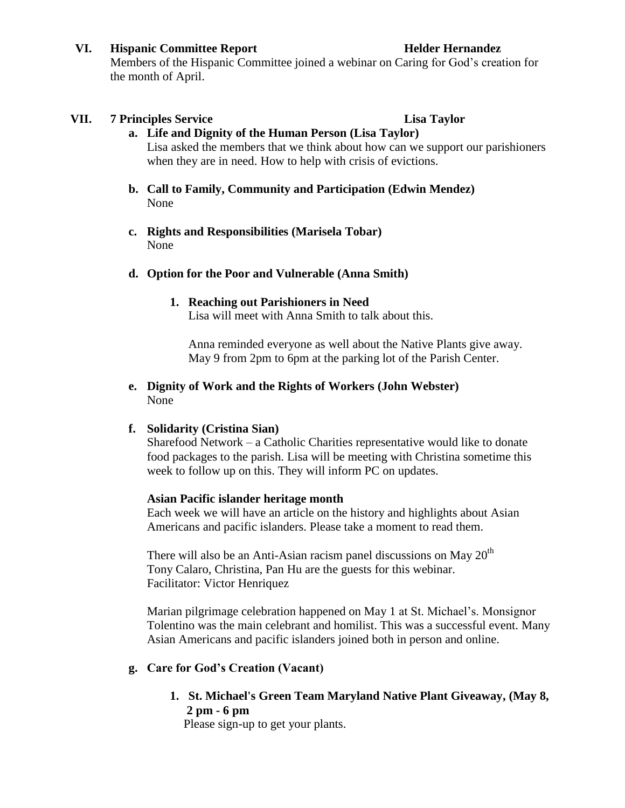### **VI. Hispanic Committee Report Helder Hernandez**

Members of the Hispanic Committee joined a webinar on Caring for God's creation for the month of April.

## **VII.** 7 Principles Service **Lisa Taylor**

**a. Life and Dignity of the Human Person (Lisa Taylor)** Lisa asked the members that we think about how can we support our parishioners when they are in need. How to help with crisis of evictions.

- **b. Call to Family, Community and Participation (Edwin Mendez)** None
- **c. Rights and Responsibilities (Marisela Tobar)** None

## **d. Option for the Poor and Vulnerable (Anna Smith)**

## **1. Reaching out Parishioners in Need**

Lisa will meet with Anna Smith to talk about this.

Anna reminded everyone as well about the Native Plants give away. May 9 from 2pm to 6pm at the parking lot of the Parish Center.

## **e. Dignity of Work and the Rights of Workers (John Webster)** None

### **f. Solidarity (Cristina Sian)**

Sharefood Network – a Catholic Charities representative would like to donate food packages to the parish. Lisa will be meeting with Christina sometime this week to follow up on this. They will inform PC on updates.

### **Asian Pacific islander heritage month**

Each week we will have an article on the history and highlights about Asian Americans and pacific islanders. Please take a moment to read them.

There will also be an Anti-Asian racism panel discussions on May  $20<sup>th</sup>$ Tony Calaro, Christina, Pan Hu are the guests for this webinar. Facilitator: Victor Henriquez

Marian pilgrimage celebration happened on May 1 at St. Michael's. Monsignor Tolentino was the main celebrant and homilist. This was a successful event. Many Asian Americans and pacific islanders joined both in person and online.

# **g. Care for God's Creation (Vacant)**

**1. St. Michael's Green Team Maryland Native Plant Giveaway, (May 8, 2 pm - 6 pm**

Please sign-up to get your plants.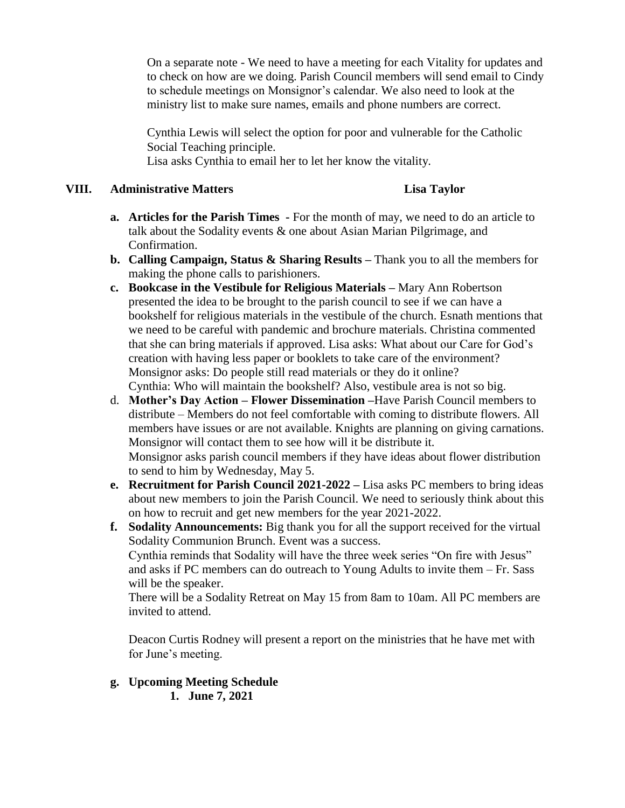On a separate note - We need to have a meeting for each Vitality for updates and to check on how are we doing. Parish Council members will send email to Cindy to schedule meetings on Monsignor's calendar. We also need to look at the ministry list to make sure names, emails and phone numbers are correct.

Cynthia Lewis will select the option for poor and vulnerable for the Catholic Social Teaching principle.

Lisa asks Cynthia to email her to let her know the vitality.

## **VIII. Administrative Matters Lisa Taylor**

- **a. Articles for the Parish Times -** For the month of may, we need to do an article to talk about the Sodality events & one about Asian Marian Pilgrimage, and Confirmation.
- **b. Calling Campaign, Status & Sharing Results –** Thank you to all the members for making the phone calls to parishioners.
- **c. Bookcase in the Vestibule for Religious Materials –** Mary Ann Robertson presented the idea to be brought to the parish council to see if we can have a bookshelf for religious materials in the vestibule of the church. Esnath mentions that we need to be careful with pandemic and brochure materials. Christina commented that she can bring materials if approved. Lisa asks: What about our Care for God's creation with having less paper or booklets to take care of the environment? Monsignor asks: Do people still read materials or they do it online? Cynthia: Who will maintain the bookshelf? Also, vestibule area is not so big.
- d. **Mother's Day Action – Flower Dissemination –**Have Parish Council members to distribute – Members do not feel comfortable with coming to distribute flowers. All members have issues or are not available. Knights are planning on giving carnations. Monsignor will contact them to see how will it be distribute it. Monsignor asks parish council members if they have ideas about flower distribution to send to him by Wednesday, May 5.
- **e. Recruitment for Parish Council 2021-2022 –** Lisa asks PC members to bring ideas about new members to join the Parish Council. We need to seriously think about this on how to recruit and get new members for the year 2021-2022.
- **f. Sodality Announcements:** Big thank you for all the support received for the virtual Sodality Communion Brunch. Event was a success. Cynthia reminds that Sodality will have the three week series "On fire with Jesus" and asks if PC members can do outreach to Young Adults to invite them – Fr. Sass will be the speaker.

There will be a Sodality Retreat on May 15 from 8am to 10am. All PC members are invited to attend.

Deacon Curtis Rodney will present a report on the ministries that he have met with for June's meeting.

**g. Upcoming Meeting Schedule 1. June 7, 2021**